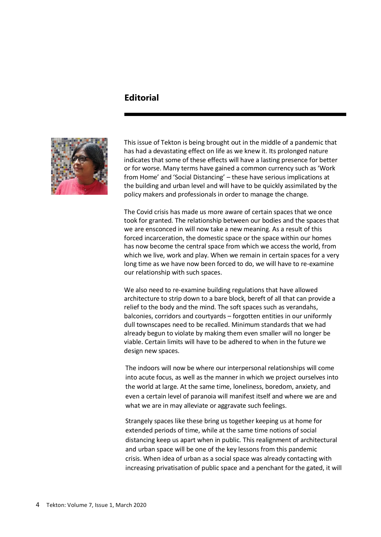## **Editorial**



This issue of Tekton is being brought out in the middle of a pandemic that has had a devastating effect on life as we knew it. Its prolonged nature indicates that some of these effects will have a lasting presence for better or for worse. Many terms have gained a common currency such as 'Work from Home' and 'Social Distancing' – these have serious implications at the building and urban level and will have to be quickly assimilated by the policy makers and professionals in order to manage the change.

The Covid crisis has made us more aware of certain spaces that we once took for granted. The relationship between our bodies and the spaces that we are ensconced in will now take a new meaning. As a result of this forced incarceration, the domestic space or the space within our homes has now become the central space from which we access the world, from which we live, work and play. When we remain in certain spaces for a very long time as we have now been forced to do, we will have to re-examine our relationship with such spaces.

We also need to re-examine building regulations that have allowed architecture to strip down to a bare block, bereft of all that can provide a relief to the body and the mind. The soft spaces such as verandahs, balconies, corridors and courtyards – forgotten entities in our uniformly dull townscapes need to be recalled. Minimum standards that we had already begun to violate by making them even smaller will no longer be viable. Certain limits will have to be adhered to when in the future we design new spaces.

The indoors will now be where our interpersonal relationships will come into acute focus, as well as the manner in which we project ourselves into the world at large. At the same time, loneliness, boredom, anxiety, and even a certain level of paranoia will manifest itself and where we are and what we are in may alleviate or aggravate such feelings.

Strangely spaces like these bring us together keeping us at home for extended periods of time, while at the same time notions of social distancing keep us apart when in public. This realignment of architectural and urban space will be one of the key lessons from this pandemic crisis. When idea of urban as a social space was already contacting with increasing privatisation of public space and a penchant for the gated, it will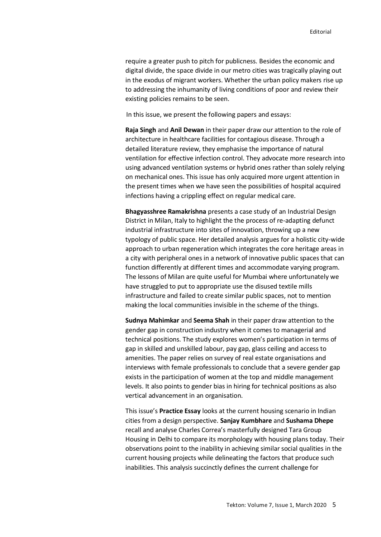require a greater push to pitch for publicness. Besides the economic and digital divide, the space divide in our metro cities was tragically playing out in the exodus of migrant workers. Whether the urban policy makers rise up to addressing the inhumanity of living conditions of poor and review their existing policies remains to be seen.

In this issue, we present the following papers and essays:

**Raja Singh** and **Anil Dewan** in their paper draw our attention to the role of architecture in healthcare facilities for contagious disease. Through a detailed literature review, they emphasise the importance of natural ventilation for effective infection control. They advocate more research into using advanced ventilation systems or hybrid ones rather than solely relying on mechanical ones. This issue has only acquired more urgent attention in the present times when we have seen the possibilities of hospital acquired infections having a crippling effect on regular medical care.

**Bhagyasshree Ramakrishna** presents a case study of an Industrial Design District in Milan, Italy to highlight the the process of re-adapting defunct industrial infrastructure into sites of innovation, throwing up a new typology of public space. Her detailed analysis argues for a holistic city-wide approach to urban regeneration which integrates the core heritage areas in a city with peripheral ones in a network of innovative public spaces that can function differently at different times and accommodate varying program. The lessons of Milan are quite useful for Mumbai where unfortunately we have struggled to put to appropriate use the disused textile mills infrastructure and failed to create similar public spaces, not to mention making the local communities invisible in the scheme of the things.

**Sudnya Mahimkar** and **Seema Shah** in their paper draw attention to the gender gap in construction industry when it comes to managerial and technical positions. The study explores women's participation in terms of gap in skilled and unskilled labour, pay gap, glass ceiling and access to amenities. The paper relies on survey of real estate organisations and interviews with female professionals to conclude that a severe gender gap exists in the participation of women at the top and middle management levels. It also points to gender bias in hiring for technical positions as also vertical advancement in an organisation.

This issue's **Practice Essay** looks at the current housing scenario in Indian cities from a design perspective. **Sanjay Kumbhare** and **Sushama Dhepe** recall and analyse Charles Correa's masterfully designed Tara Group Housing in Delhi to compare its morphology with housing plans today. Their observations point to the inability in achieving similar social qualities in the current housing projects while delineating the factors that produce such inabilities. This analysis succinctly defines the current challenge for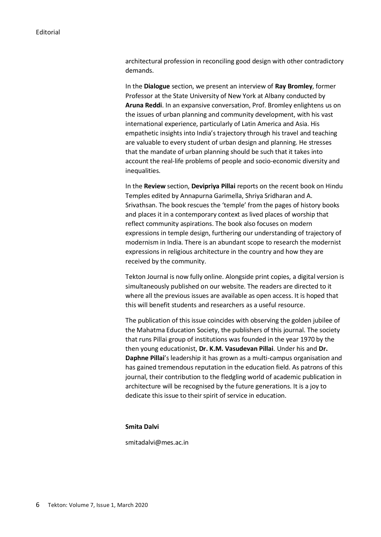architectural profession in reconciling good design with other contradictory demands.

In the **Dialogue** section, we present an interview of **Ray Bromley**, former Professor at the State University of New York at Albany conducted by **Aruna Reddi**. In an expansive conversation, Prof. Bromley enlightens us on the issues of urban planning and community development, with his vast international experience, particularly of Latin America and Asia. His empathetic insights into India's trajectory through his travel and teaching are valuable to every student of urban design and planning. He stresses that the mandate of urban planning should be such that it takes into account the real-life problems of people and socio-economic diversity and inequalities.

In the **Review** section, **Devipriya Pillai** reports on the recent book on Hindu Temples edited by Annapurna Garimella, Shriya Sridharan and A. Srivathsan. The book rescues the 'temple' from the pages of history books and places it in a contemporary context as lived places of worship that reflect community aspirations. The book also focuses on modern expressions in temple design, furthering our understanding of trajectory of modernism in India. There is an abundant scope to research the modernist expressions in religious architecture in the country and how they are received by the community.

Tekton Journal is now fully online. Alongside print copies, a digital version is simultaneously published on our website. The readers are directed to it where all the previous issues are available as open access. It is hoped that this will benefit students and researchers as a useful resource.

The publication of this issue coincides with observing the golden jubilee of the Mahatma Education Society, the publishers of this journal. The society that runs Pillai group of institutions was founded in the year 1970 by the then young educationist, **Dr. K.M. Vasudevan Pillai**. Under his and **Dr. Daphne Pillai**'s leadership it has grown as a multi-campus organisation and has gained tremendous reputation in the education field. As patrons of this journal, their contribution to the fledgling world of academic publication in architecture will be recognised by the future generations. It is a joy to dedicate this issue to their spirit of service in education.

## **Smita Dalvi**

smitadalvi@mes.ac.in